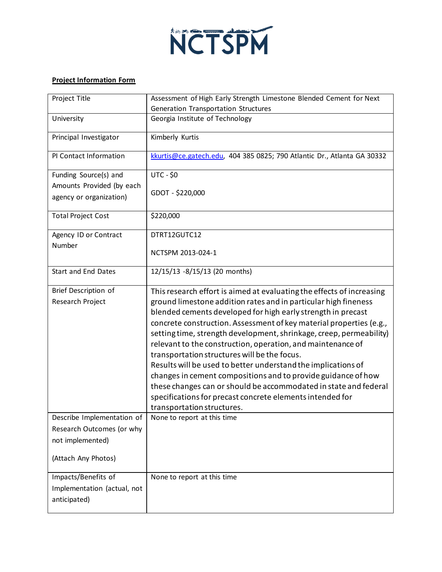

## **Project Information Form**

| Project Title                                 | Assessment of High Early Strength Limestone Blended Cement for Next<br>Generation Transportation Structures                        |
|-----------------------------------------------|------------------------------------------------------------------------------------------------------------------------------------|
| University                                    | Georgia Institute of Technology                                                                                                    |
| Principal Investigator                        | Kimberly Kurtis                                                                                                                    |
| PI Contact Information                        | kkurtis@ce.gatech.edu, 404 385 0825; 790 Atlantic Dr., Atlanta GA 30332                                                            |
| Funding Source(s) and                         | <b>UTC - \$0</b>                                                                                                                   |
| Amounts Provided (by each                     | GDOT - \$220,000                                                                                                                   |
| agency or organization)                       |                                                                                                                                    |
| <b>Total Project Cost</b>                     | \$220,000                                                                                                                          |
| Agency ID or Contract                         | DTRT12GUTC12                                                                                                                       |
| Number                                        | NCTSPM 2013-024-1                                                                                                                  |
|                                               |                                                                                                                                    |
| <b>Start and End Dates</b>                    | 12/15/13 -8/15/13 (20 months)                                                                                                      |
| Brief Description of                          | This research effort is aimed at evaluating the effects of increasing                                                              |
| Research Project                              | ground limestone addition rates and in particular high fineness                                                                    |
|                                               | blended cements developed for high early strength in precast                                                                       |
|                                               | concrete construction. Assessment of key material properties (e.g.,                                                                |
|                                               | setting time, strength development, shrinkage, creep, permeability)<br>relevant to the construction, operation, and maintenance of |
|                                               | transportation structures will be the focus.                                                                                       |
|                                               | Results will be used to better understand the implications of                                                                      |
|                                               | changes in cement compositions and to provide guidance of how                                                                      |
|                                               | these changes can or should be accommodated in state and federal                                                                   |
|                                               | specifications for precast concrete elements intended for                                                                          |
|                                               | transportation structures.                                                                                                         |
| Describe Implementation of                    | None to report at this time                                                                                                        |
| Research Outcomes (or why<br>not implemented) |                                                                                                                                    |
|                                               |                                                                                                                                    |
| (Attach Any Photos)                           |                                                                                                                                    |
| Impacts/Benefits of                           | None to report at this time                                                                                                        |
| Implementation (actual, not                   |                                                                                                                                    |
| anticipated)                                  |                                                                                                                                    |